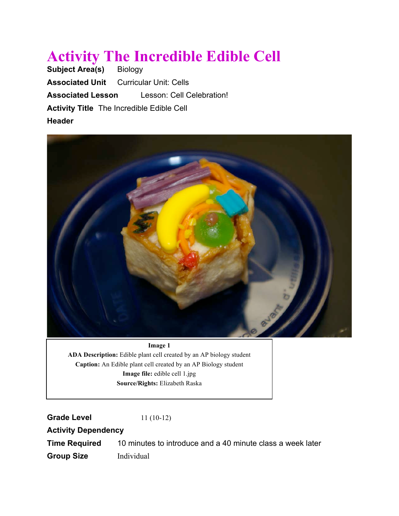# **Activity The Incredible Edible Cell**<br>Subject Area(s) Biology

**Subject Area(s) Associated Unit** Curricular Unit: Cells **Associated Lesson** Lesson: Cell Celebration! **Activity Title** The Incredible Edible Cell **Header**



#### **Image 1**

**ADA Description:** Edible plant cell created by an AP biology student **Caption:** An Edible plant cell created by an AP Biology student **Image file:** edible cell 1.jpg **Source/Rights:** Elizabeth Raska

**Grade Level** 11 (10-12)

**Activity Dependency**

**Time Required** 10 minutes to introduce and a 40 minute class a week later **Group Size** Individual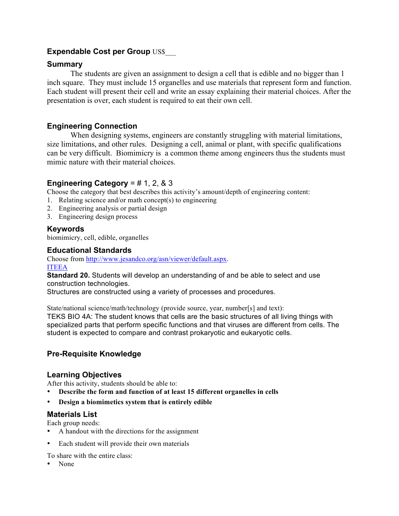## **Expendable Cost per Group US\$**

## **Summary**

The students are given an assignment to design a cell that is edible and no bigger than 1 inch square. They must include 15 organelles and use materials that represent form and function. Each student will present their cell and write an essay explaining their material choices. After the presentation is over, each student is required to eat their own cell.

# **Engineering Connection**

When designing systems, engineers are constantly struggling with material limitations, size limitations, and other rules. Designing a cell, animal or plant, with specific qualifications can be very difficult. Biomimicry is a common theme among engineers thus the students must mimic nature with their material choices.

# **Engineering Category** = # 1, 2, & 3

Choose the category that best describes this activity's amount/depth of engineering content:

- 1. Relating science and/or math concept(s) to engineering
- 2. Engineering analysis or partial design
- 3. Engineering design process

#### **Keywords**

biomimicry, cell, edible, organelles

#### **Educational Standards**

Choose from http://www.jesandco.org/asn/viewer/default.aspx.

ITEEA

**Standard 20.** Students will develop an understanding of and be able to select and use construction technologies.

Structures are constructed using a variety of processes and procedures.

State/national science/math/technology (provide source, year, number[s] and text):

TEKS BIO 4A: The student knows that cells are the basic structures of all living things with specialized parts that perform specific functions and that viruses are different from cells. The student is expected to compare and contrast prokaryotic and eukaryotic cells.

## **Pre-Requisite Knowledge**

#### **Learning Objectives**

After this activity, students should be able to:

- **Describe the form and function of at least 15 different organelles in cells**
- **Design a biomimetics system that is entirely edible**

## **Materials List**

Each group needs:

- A handout with the directions for the assignment
- Each student will provide their own materials

To share with the entire class:

• None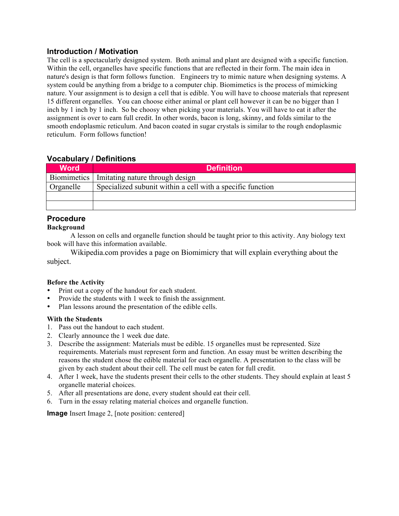### **Introduction / Motivation**

The cell is a spectacularly designed system. Both animal and plant are designed with a specific function. Within the cell, organelles have specific functions that are reflected in their form. The main idea in nature's design is that form follows function. Engineers try to mimic nature when designing systems. A system could be anything from a bridge to a computer chip. Biomimetics is the process of mimicking nature. Your assignment is to design a cell that is edible. You will have to choose materials that represent 15 different organelles. You can choose either animal or plant cell however it can be no bigger than 1 inch by 1 inch by 1 inch. So be choosy when picking your materials. You will have to eat it after the assignment is over to earn full credit. In other words, bacon is long, skinny, and folds similar to the smooth endoplasmic reticulum. And bacon coated in sugar crystals is similar to the rough endoplasmic reticulum. Form follows function!

# **Vocabulary / Definitions**

| <b>Word</b> | <b>Definition</b>                                          |
|-------------|------------------------------------------------------------|
|             | Biomimetics   Imitating nature through design              |
| Organelle   | Specialized subunit within a cell with a specific function |
|             |                                                            |
|             |                                                            |

# **Procedure**

#### **Background**

A lesson on cells and organelle function should be taught prior to this activity. Any biology text book will have this information available.

Wikipedia.com provides a page on Biomimicry that will explain everything about the subject.

#### **Before the Activity**

- Print out a copy of the handout for each student.
- Provide the students with 1 week to finish the assignment.
- Plan lessons around the presentation of the edible cells.

#### **With the Students**

- 1. Pass out the handout to each student.
- 2. Clearly announce the 1 week due date.
- 3. Describe the assignment: Materials must be edible. 15 organelles must be represented. Size requirements. Materials must represent form and function. An essay must be written describing the reasons the student chose the edible material for each organelle. A presentation to the class will be given by each student about their cell. The cell must be eaten for full credit.
- 4. After 1 week, have the students present their cells to the other students. They should explain at least 5 organelle material choices.
- 5. After all presentations are done, every student should eat their cell.
- 6. Turn in the essay relating material choices and organelle function.

**Image** Insert Image 2, [note position: centered]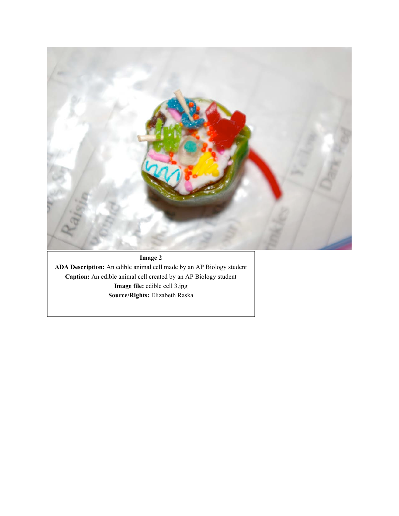

# **Image 2**

**ADA Description:** An edible animal cell made by an AP Biology student **Caption:** An edible animal cell created by an AP Biology student **Image file:** edible cell 3.jpg **Source/Rights:** Elizabeth Raska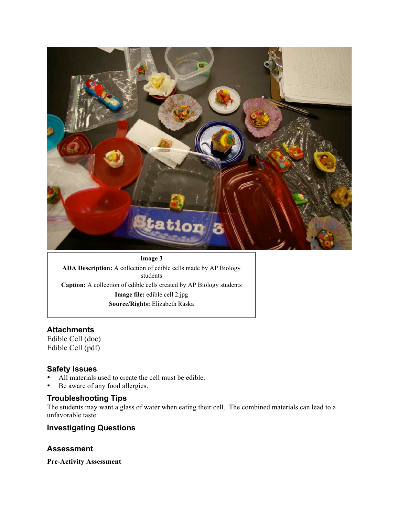

# **Image 3 ADA Description:** A collection of edible cells made by AP Biology students **Caption:** A collection of edible cells created by AP Biology students **Image file:** edible cell 2.jpg **Source/Rights:** Elizabeth Raska

## **Attachments**

Edible Cell (doc) Edible Cell (pdf)

## **Safety Issues**

- All materials used to create the cell must be edible.
- Be aware of any food allergies.

#### **Troubleshooting Tips**

The students may want a glass of water when eating their cell. The combined materials can lead to a unfavorable taste.

## **Investigating Questions**

## **Assessment**

**Pre-Activity Assessment**